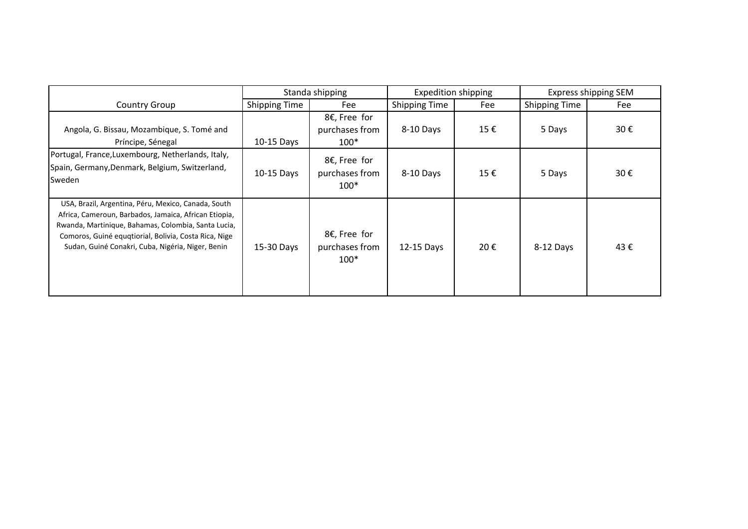|                                                                                                                                                                                                                                                                                   | Standa shipping      |                                          | <b>Expedition shipping</b> |     | Express shipping SEM |     |
|-----------------------------------------------------------------------------------------------------------------------------------------------------------------------------------------------------------------------------------------------------------------------------------|----------------------|------------------------------------------|----------------------------|-----|----------------------|-----|
| <b>Country Group</b>                                                                                                                                                                                                                                                              | <b>Shipping Time</b> | Fee                                      | <b>Shipping Time</b>       | Fee | <b>Shipping Time</b> | Fee |
| Angola, G. Bissau, Mozambique, S. Tomé and<br>Príncipe, Sénegal                                                                                                                                                                                                                   | $10-15$ Days         | 8€, Free for<br>purchases from<br>$100*$ | 8-10 Days                  | 15€ | 5 Days               | 30€ |
| Portugal, France, Luxembourg, Netherlands, Italy,<br>Spain, Germany, Denmark, Belgium, Switzerland,<br>Sweden                                                                                                                                                                     | 10-15 Days           | 8€, Free for<br>purchases from<br>$100*$ | 8-10 Days                  | 15€ | 5 Days               | 30€ |
| USA, Brazil, Argentina, Péru, Mexico, Canada, South<br>Africa, Cameroun, Barbados, Jamaica, African Etiopia,<br>Rwanda, Martinique, Bahamas, Colombia, Santa Lucia,<br>Comoros, Guiné equqtiorial, Bolivia, Costa Rica, Nige<br>Sudan, Guiné Conakri, Cuba, Nigéria, Niger, Benin | 15-30 Days           | 8€, Free for<br>purchases from<br>$100*$ | 12-15 Days                 | 20€ | 8-12 Days            | 43€ |